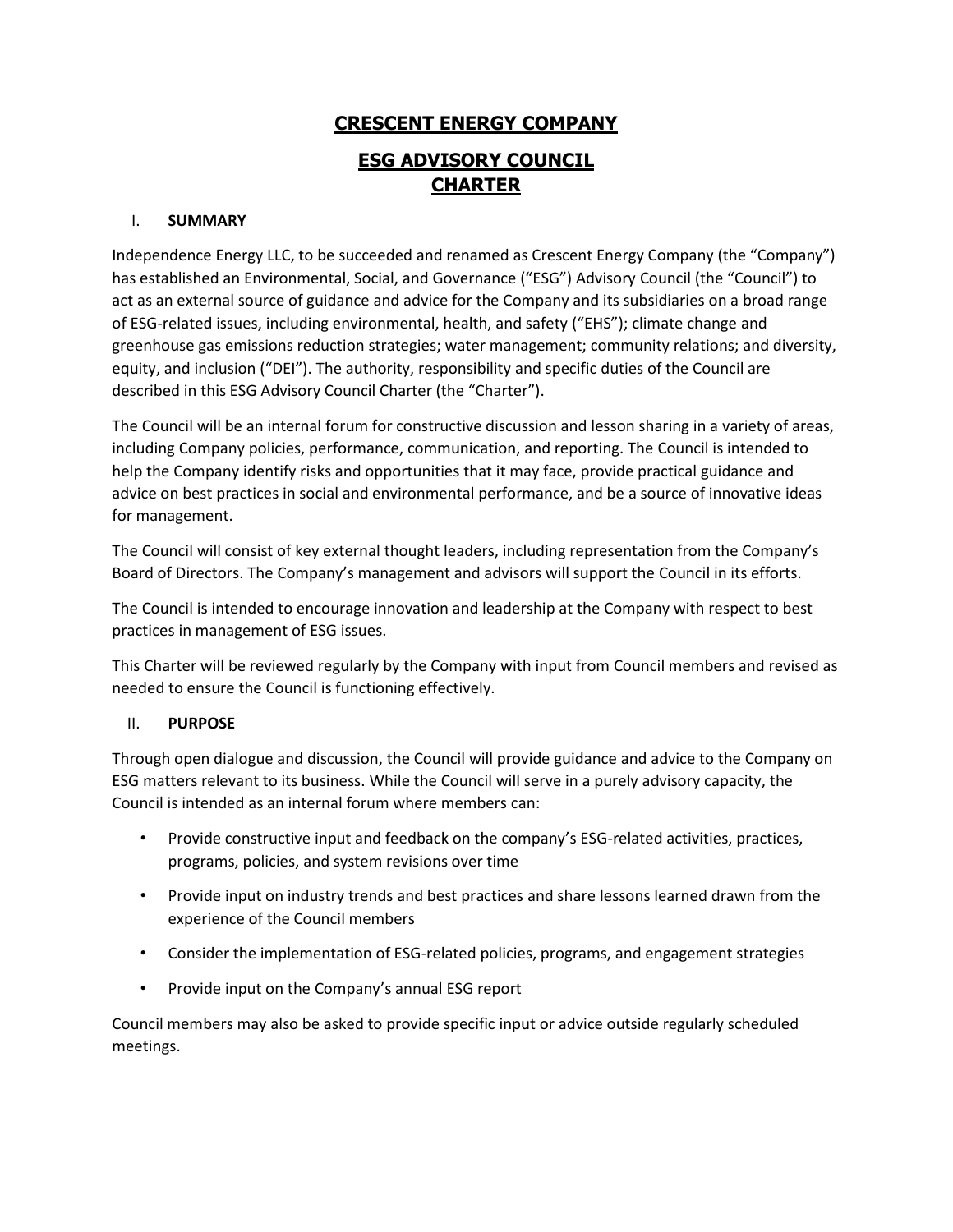# **CRESCENT ENERGY COMPANY ESG ADVISORY COUNCIL CHARTER**

#### I. **SUMMARY**

Independence Energy LLC, to be succeeded and renamed as Crescent Energy Company (the "Company") has established an Environmental, Social, and Governance ("ESG") Advisory Council (the "Council") to act as an external source of guidance and advice for the Company and its subsidiaries on a broad range of ESG-related issues, including environmental, health, and safety ("EHS"); climate change and greenhouse gas emissions reduction strategies; water management; community relations; and diversity, equity, and inclusion ("DEI"). The authority, responsibility and specific duties of the Council are described in this ESG Advisory Council Charter (the "Charter").

The Council will be an internal forum for constructive discussion and lesson sharing in a variety of areas, including Company policies, performance, communication, and reporting. The Council is intended to help the Company identify risks and opportunities that it may face, provide practical guidance and advice on best practices in social and environmental performance, and be a source of innovative ideas for management.

The Council will consist of key external thought leaders, including representation from the Company's Board of Directors. The Company's management and advisors will support the Council in its efforts.

The Council is intended to encourage innovation and leadership at the Company with respect to best practices in management of ESG issues.

This Charter will be reviewed regularly by the Company with input from Council members and revised as needed to ensure the Council is functioning effectively.

#### II. **PURPOSE**

Through open dialogue and discussion, the Council will provide guidance and advice to the Company on ESG matters relevant to its business. While the Council will serve in a purely advisory capacity, the Council is intended as an internal forum where members can:

- Provide constructive input and feedback on the company's ESG-related activities, practices, programs, policies, and system revisions over time
- Provide input on industry trends and best practices and share lessons learned drawn from the experience of the Council members
- Consider the implementation of ESG-related policies, programs, and engagement strategies
- Provide input on the Company's annual ESG report

Council members may also be asked to provide specific input or advice outside regularly scheduled meetings.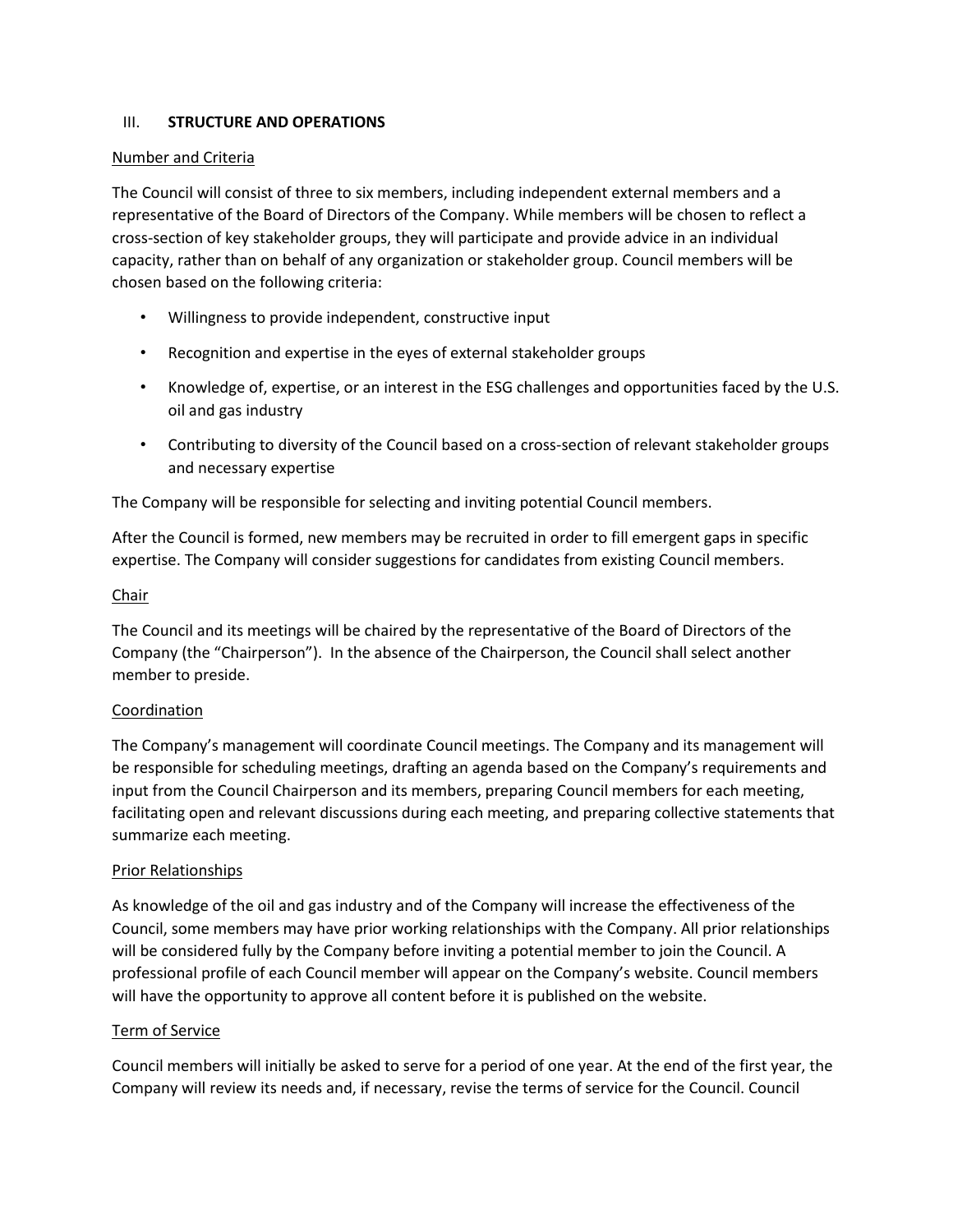#### III. **STRUCTURE AND OPERATIONS**

#### Number and Criteria

The Council will consist of three to six members, including independent external members and a representative of the Board of Directors of the Company. While members will be chosen to reflect a cross-section of key stakeholder groups, they will participate and provide advice in an individual capacity, rather than on behalf of any organization or stakeholder group. Council members will be chosen based on the following criteria:

- Willingness to provide independent, constructive input
- Recognition and expertise in the eyes of external stakeholder groups
- Knowledge of, expertise, or an interest in the ESG challenges and opportunities faced by the U.S. oil and gas industry
- Contributing to diversity of the Council based on a cross-section of relevant stakeholder groups and necessary expertise

The Company will be responsible for selecting and inviting potential Council members.

After the Council is formed, new members may be recruited in order to fill emergent gaps in specific expertise. The Company will consider suggestions for candidates from existing Council members.

#### Chair

The Council and its meetings will be chaired by the representative of the Board of Directors of the Company (the "Chairperson"). In the absence of the Chairperson, the Council shall select another member to preside.

#### Coordination

The Company's management will coordinate Council meetings. The Company and its management will be responsible for scheduling meetings, drafting an agenda based on the Company's requirements and input from the Council Chairperson and its members, preparing Council members for each meeting, facilitating open and relevant discussions during each meeting, and preparing collective statements that summarize each meeting.

#### Prior Relationships

As knowledge of the oil and gas industry and of the Company will increase the effectiveness of the Council, some members may have prior working relationships with the Company. All prior relationships will be considered fully by the Company before inviting a potential member to join the Council. A professional profile of each Council member will appear on the Company's website. Council members will have the opportunity to approve all content before it is published on the website.

#### Term of Service

Council members will initially be asked to serve for a period of one year. At the end of the first year, the Company will review its needs and, if necessary, revise the terms of service for the Council. Council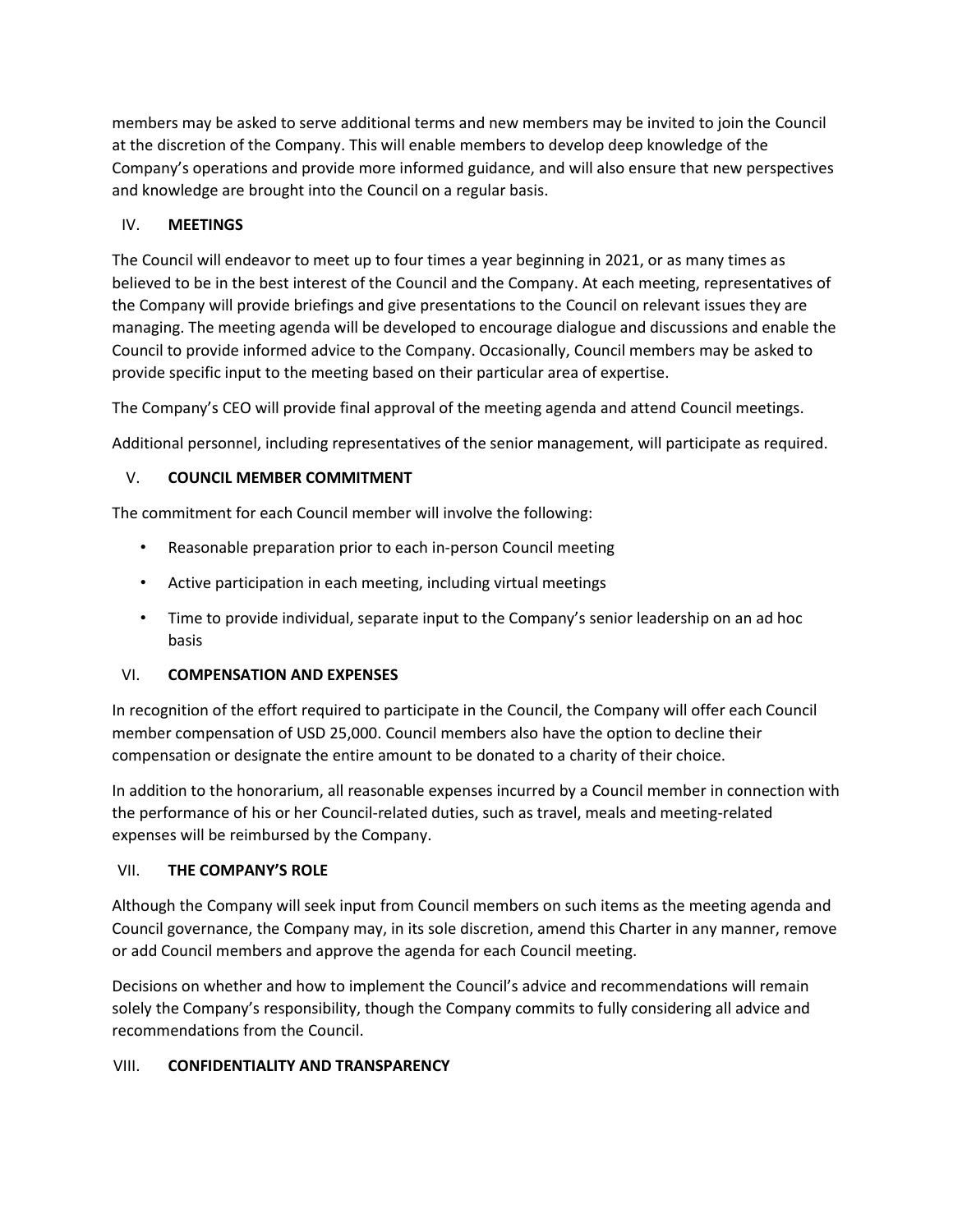members may be asked to serve additional terms and new members may be invited to join the Council at the discretion of the Company. This will enable members to develop deep knowledge of the Company's operations and provide more informed guidance, and will also ensure that new perspectives and knowledge are brought into the Council on a regular basis.

## IV. **MEETINGS**

The Council will endeavor to meet up to four times a year beginning in 2021, or as many times as believed to be in the best interest of the Council and the Company. At each meeting, representatives of the Company will provide briefings and give presentations to the Council on relevant issues they are managing. The meeting agenda will be developed to encourage dialogue and discussions and enable the Council to provide informed advice to the Company. Occasionally, Council members may be asked to provide specific input to the meeting based on their particular area of expertise.

The Company's CEO will provide final approval of the meeting agenda and attend Council meetings.

Additional personnel, including representatives of the senior management, will participate as required.

## V. **COUNCIL MEMBER COMMITMENT**

The commitment for each Council member will involve the following:

- Reasonable preparation prior to each in-person Council meeting
- Active participation in each meeting, including virtual meetings
- Time to provide individual, separate input to the Company's senior leadership on an ad hoc basis

# VI. **COMPENSATION AND EXPENSES**

In recognition of the effort required to participate in the Council, the Company will offer each Council member compensation of USD 25,000. Council members also have the option to decline their compensation or designate the entire amount to be donated to a charity of their choice.

In addition to the honorarium, all reasonable expenses incurred by a Council member in connection with the performance of his or her Council-related duties, such as travel, meals and meeting-related expenses will be reimbursed by the Company.

### VII. **THE COMPANY'S ROLE**

Although the Company will seek input from Council members on such items as the meeting agenda and Council governance, the Company may, in its sole discretion, amend this Charter in any manner, remove or add Council members and approve the agenda for each Council meeting.

Decisions on whether and how to implement the Council's advice and recommendations will remain solely the Company's responsibility, though the Company commits to fully considering all advice and recommendations from the Council.

# VIII. **CONFIDENTIALITY AND TRANSPARENCY**